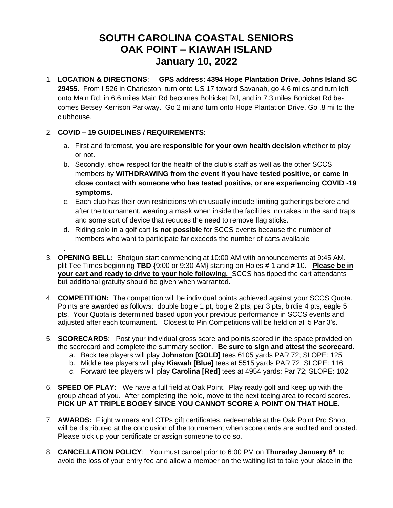## **SOUTH CAROLINA COASTAL SENIORS OAK POINT – KIAWAH ISLAND January 10, 2022**

1. **LOCATION & DIRECTIONS**: **GPS address: 4394 Hope Plantation Drive, Johns Island SC 29455.** From I 526 in Charleston, turn onto US 17 toward Savanah, go 4.6 miles and turn left onto Main Rd; in 6.6 miles Main Rd becomes Bohicket Rd, and in 7.3 miles Bohicket Rd becomes Betsey Kerrison Parkway. Go 2 mi and turn onto Hope Plantation Drive. Go .8 mi to the clubhouse.

## 2. **COVID – 19 GUIDELINES / REQUIREMENTS:**

.

- a. First and foremost, **you are responsible for your own health decision** whether to play or not.
- b. Secondly, show respect for the health of the club's staff as well as the other SCCS members by **WITHDRAWING from the event if you have tested positive, or came in close contact with someone who has tested positive, or are experiencing COVID -19 symptoms.**
- c. Each club has their own restrictions which usually include limiting gatherings before and after the tournament, wearing a mask when inside the facilities, no rakes in the sand traps and some sort of device that reduces the need to remove flag sticks.
- d. Riding solo in a golf cart **is not possible** for SCCS events because the number of members who want to participate far exceeds the number of carts available
- 3. **OPENING BELL:** Shotgun start commencing at 10:00 AM with announcements at 9:45 AM. plit Tee Times beginning **TBD {**9:00 or 9:30 AM} starting on Holes # 1 and # 10. **Please be in your cart and ready to drive to your hole following.** SCCS has tipped the cart attendants but additional gratuity should be given when warranted.
- 4. **COMPETITION:** The competition will be individual points achieved against your SCCS Quota. Points are awarded as follows: double bogie 1 pt, bogie 2 pts, par 3 pts, birdie 4 pts, eagle 5 pts. Your Quota is determined based upon your previous performance in SCCS events and adjusted after each tournament. Closest to Pin Competitions will be held on all 5 Par 3's.
- 5. **SCORECARDS**: Post your individual gross score and points scored in the space provided on the scorecard and complete the summary section. **Be sure to sign and attest the scorecard**.
	- a. Back tee players will play **Johnston [GOLD]** tees 6105 yards PAR 72; SLOPE: 125
	- b. Middle tee players will play **Kiawah [Blue]** tees at 5515 yards PAR 72; SLOPE: 116
	- c. Forward tee players will play **Carolina [Red]** tees at 4954 yards: Par 72; SLOPE: 102
- 6. **SPEED OF PLAY:** We have a full field at Oak Point. Play ready golf and keep up with the group ahead of you. After completing the hole, move to the next teeing area to record scores. **PICK UP AT TRIPLE BOGEY SINCE YOU CANNOT SCORE A POINT ON THAT HOLE.**
- 7. **AWARDS:** Flight winners and CTPs gift certificates, redeemable at the Oak Point Pro Shop, will be distributed at the conclusion of the tournament when score cards are audited and posted. Please pick up your certificate or assign someone to do so.
- 8. **CANCELLATION POLICY**: You must cancel prior to 6:00 PM on **Thursday January 6 th** to avoid the loss of your entry fee and allow a member on the waiting list to take your place in the